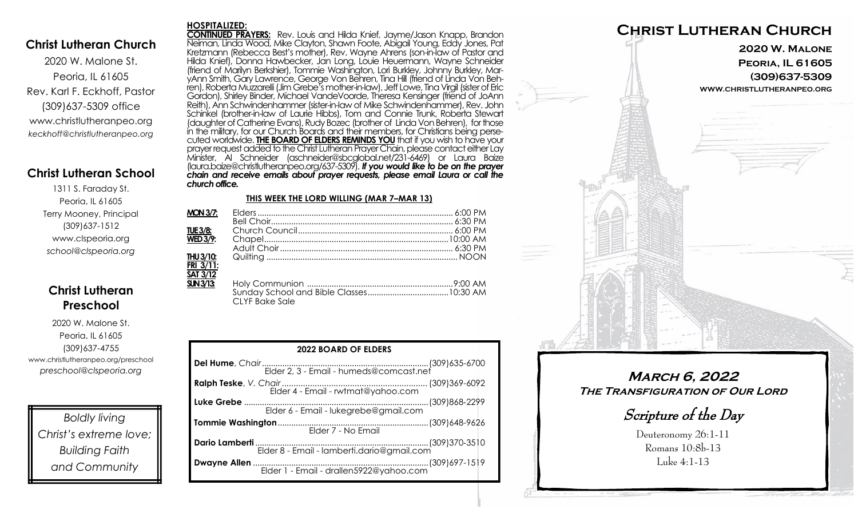### **Christ Lutheran Church**

2020 W. Malone St. Peoria, IL 61605 Rev. Karl F. Eckhoff, Pastor (309)637-5309 office www.christlutheranpeo.org *keckhoff@christlutheranpeo.org*

## **Christ Lutheran School**

1311 S. Faraday St. Peoria, IL 61605 Terry Mooney, Principal (309)637-1512 www.clspeoria.org *school@clspeoria.org*

## **Christ Lutheran Preschool**

2020 W. Malone St. Peoria, IL 61605 (309)637-4755 www.christlutheranpeo.org/preschool *preschool@clspeoria.org*

*Boldly living Christ's extreme love; Building Faith and Community*

#### **HOSPITALIZED:**

**CONTINUED PRAYERS:** Rev. Louis and Hilda Knief, Jayme/Jason Knapp, Brandon Neiman, Linda Wood, Mike Clayton, Shawn Foote, Abigail Young, Eddy Jones, Pat Kretzmann (Rebecca Best's mother), Rev. Wayne Ahrens (son-in-law of Pastor and Hilda Knief), Donna Hawbecker, Jan Long, Louie Heuermann, Wayne Schneider (friend of Marilyn Berkshier), Tommie Washington, Lori Burkley, Johnny Burkley, MaryAnn Smith, Gary Lawrence, George Von Behren, Tina Hill (friend of Linda Von Behren), Roberta Muzzarelli (Jim Grebe's mother-in-law), Jeff Lowe, Tina Virgil (sister of Eric Gordon), Shirley Binder, Michael VandeVoorde, Theresa Kensinger (friend of JoAnn Reith), Ann Schwindenhammer (sister-in-law of Mike Schwindenhammer), Rev. John Schinkel (brother-in-law of Laurie Hibbs), Tom and Connie Trunk, Roberta Stewart (daughter of Catherine Evans), Rudy Bozec (brother of Linda Von Behren), for those in the military, for our Church Boards and their members, for Christians being persecuted worldwide. **THE BOARD OF ELDERS REMINDS YOU** that if you wish to have your prayer request added to the Christ Lutheran Prayer Chain, please contact either Lay Minister, Al Schneider (aschneider@sbcglobal.net/231-6469) or Laura Baize (laura.baize@christlutheranpeo.org/637-5309). *If you would like to be on the prayer chain and receive emails about prayer requests, please email Laura or call the church office.*

#### **THIS WEEK THE LORD WILLING (MAR 7–MAR 13)**

| <b>MON 3/7:</b>             |                       |  |
|-----------------------------|-----------------------|--|
|                             |                       |  |
| TUE 3/8:                    |                       |  |
| <b>WED 3/9:</b>             |                       |  |
|                             |                       |  |
| THU 3/10:                   |                       |  |
| $FRI$ 3/11:                 |                       |  |
| SAT 3/12                    |                       |  |
| $\overline{\text{SUN}3/13}$ |                       |  |
|                             |                       |  |
|                             | <b>CLYF Bake Sale</b> |  |

| <b>2022 BOARD OF ELDERS</b>                |  |  |  |
|--------------------------------------------|--|--|--|
|                                            |  |  |  |
| Elder 4 - Email - rwtmat@yahoo.com         |  |  |  |
|                                            |  |  |  |
| Elder 6 - Email - lukegrebe@gmail.com      |  |  |  |
| Elder 7 - No Email                         |  |  |  |
| Elder 8 - Email - lamberti.dario@gmail.com |  |  |  |
| Elder 1 - Email - drallen5922@yahoo.com    |  |  |  |



**March 6, 2022 The Transfiguration of Our Lord**

Scripture of the Day

Deuteronomy 26:1-11 Romans 10:8b-13 Luke 4:1-13